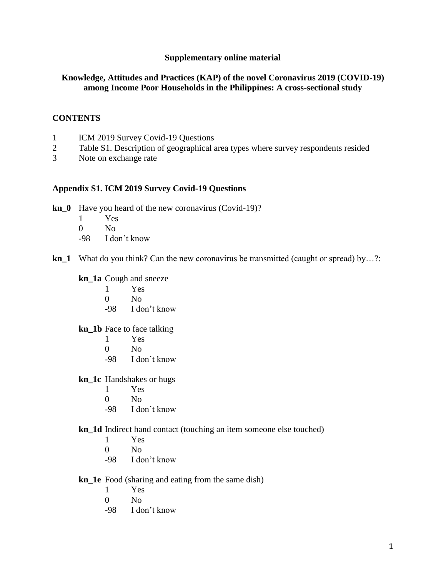## **Supplementary online material**

# **Knowledge, Attitudes and Practices (KAP) of the novel Coronavirus 2019 (COVID-19) among Income Poor Households in the Philippines: A cross-sectional study**

# **CONTENTS**

- 1 ICM 2019 Survey Covid-19 Questions
- 2 Table S1. Description of geographical area types where survey respondents resided<br>3 Note on exchange rate
- Note on exchange rate

## **Appendix S1. ICM 2019 Survey Covid-19 Questions**

- **kn\_0** Have you heard of the new coronavirus (Covid-19)?
	- 1 Yes
	- $0$  No
	- -98 I don't know
- **kn\_1** What do you think? Can the new coronavirus be transmitted (caught or spread) by…?:

#### **kn\_1a** Cough and sneeze

- 1 Yes
- $0$  No
- -98 I don't know

# **kn\_1b** Face to face talking

- 1 Yes
- $0$  No
- -98 I don't know

#### **kn\_1c** Handshakes or hugs

- 1 Yes
- $0$  No
- -98 I don't know

## **kn\_1d** Indirect hand contact (touching an item someone else touched)

- 1 Yes
- $0$  No
- -98 I don't know

## **kn\_1e** Food (sharing and eating from the same dish)

- 1 Yes
- $0$  No
- -98 I don't know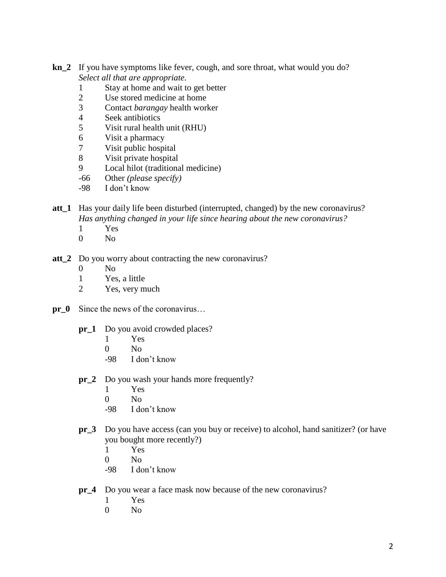- **kn\_2** If you have symptoms like fever, cough, and sore throat, what would you do? *Select all that are appropriate.*
	- 1 Stay at home and wait to get better
	- 2 Use stored medicine at home
	- 3 Contact *barangay* health worker
	- 4 Seek antibiotics
	- 5 Visit rural health unit (RHU)
	- 6 Visit a pharmacy
	- 7 Visit public hospital
	- 8 Visit private hospital
	- 9 Local hilot (traditional medicine)
	- -66 Other *(please specify)*
	- -98 I don't know
- **att\_1** Has your daily life been disturbed (interrupted, changed) by the new coronavirus? *Has anything changed in your life since hearing about the new coronavirus?*
	- 1 Yes
	- $0$  No
- **att\_2** Do you worry about contracting the new coronavirus?
	- 0 No
	- 1 Yes, a little
	- 2 Yes, very much
- **pr\_0** Since the news of the coronavirus…
	- **pr** 1 Do you avoid crowded places?
		- 1 Yes
		- $0$  No
		- -98 I don't know
	- **pr\_2** Do you wash your hands more frequently?
		- 1 Yes
		- $0$  No
		- -98 I don't know
	- **pr\_3** Do you have access (can you buy or receive) to alcohol, hand sanitizer? (or have you bought more recently?)
		- 1 Yes
		- $0$  No
		- -98 I don't know
	- **pr\_4** Do you wear a face mask now because of the new coronavirus?
		- 1 Yes
		- $0$  No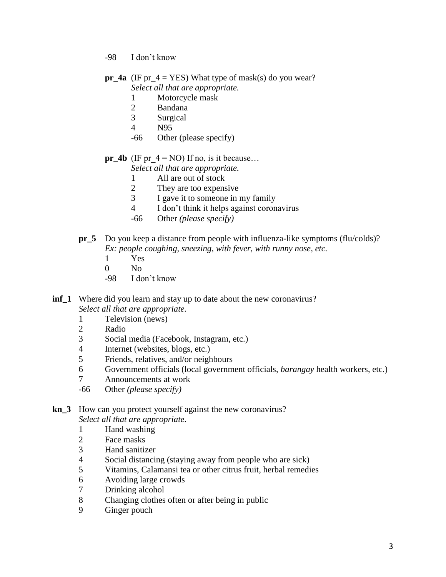- -98 I don't know
- **pr\_4a** (IF pr\_4 = YES) What type of mask(s) do you wear? *Select all that are appropriate.*
	- 1 Motorcycle mask
	- 2 Bandana
	- 3 Surgical
	- 4 N95
	- -66 Other (please specify)
- **pr\_4b** (IF pr\_4 = NO) If no, is it because…

*Select all that are appropriate.*

- 1 All are out of stock
- 2 They are too expensive
- 3 I gave it to someone in my family
- 4 I don't think it helps against coronavirus
- -66 Other *(please specify)*
- **pr\_5** Do you keep a distance from people with influenza-like symptoms (flu/colds)? *Ex: people coughing, sneezing, with fever, with runny nose, etc.* 
	- 1 Yes
	- 0 No
	- -98 I don't know

**inf\_1** Where did you learn and stay up to date about the new coronavirus? *Select all that are appropriate.*

- 1 Television (news)
- 2 Radio
- 3 Social media (Facebook, Instagram, etc.)
- 4 Internet (websites, blogs, etc.)
- 5 Friends, relatives, and/or neighbours
- 6 Government officials (local government officials, *barangay* health workers, etc.)
- 7 Announcements at work
- -66 Other *(please specify)*

**kn\_3** How can you protect yourself against the new coronavirus?

*Select all that are appropriate.*

- 1 Hand washing
- 2 Face masks
- 3 Hand sanitizer
- 4 Social distancing (staying away from people who are sick)
- 5 Vitamins, Calamansi tea or other citrus fruit, herbal remedies
- 6 Avoiding large crowds
- 7 Drinking alcohol
- 8 Changing clothes often or after being in public
- 9 Ginger pouch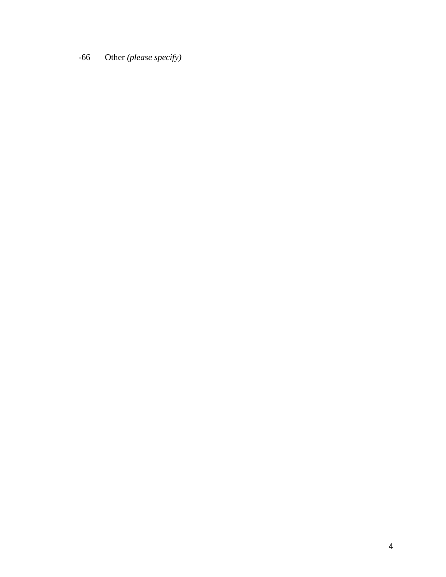-66 Other *(please specify)*